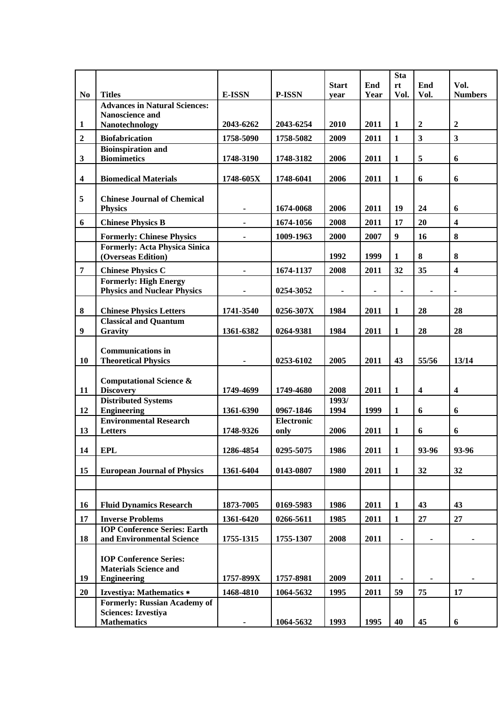|                         |                                                                    |                |            | <b>Start</b>  | End  | <b>Sta</b><br>rt | End                     | Vol.                    |
|-------------------------|--------------------------------------------------------------------|----------------|------------|---------------|------|------------------|-------------------------|-------------------------|
| N <sub>0</sub>          | <b>Titles</b>                                                      | <b>E-ISSN</b>  | P-ISSN     | year          | Year | Vol.             | Vol.                    | <b>Numbers</b>          |
|                         | <b>Advances in Natural Sciences:</b>                               |                |            |               |      |                  |                         |                         |
|                         | <b>Nanoscience and</b>                                             |                |            |               |      |                  |                         |                         |
| 1                       | <b>Nanotechnology</b>                                              | 2043-6262      | 2043-6254  | 2010          | 2011 | $\mathbf{1}$     | $\boldsymbol{2}$        | $\mathbf 2$             |
| $\overline{2}$          | <b>Biofabrication</b>                                              | 1758-5090      | 1758-5082  | 2009          | 2011 | $\mathbf{1}$     | $\overline{\mathbf{3}}$ | $\overline{\mathbf{3}}$ |
|                         | <b>Bioinspiration and</b>                                          |                |            |               |      |                  |                         |                         |
| $\mathbf{3}$            | <b>Biomimetics</b>                                                 | 1748-3190      | 1748-3182  | 2006          | 2011 | $\mathbf{1}$     | 5                       | 6                       |
| $\overline{\mathbf{4}}$ | <b>Biomedical Materials</b>                                        | 1748-605X      | 1748-6041  | 2006          | 2011 | $\mathbf{1}$     | 6                       | 6                       |
|                         |                                                                    |                |            |               |      |                  |                         |                         |
| 5                       | <b>Chinese Journal of Chemical</b>                                 |                |            |               |      |                  |                         |                         |
|                         | <b>Physics</b>                                                     | $\blacksquare$ | 1674-0068  | 2006          | 2011 | 19               | 24                      | 6                       |
| 6                       | <b>Chinese Physics B</b>                                           | $\blacksquare$ | 1674-1056  | 2008          | 2011 | 17               | 20                      | $\overline{\mathbf{4}}$ |
|                         | <b>Formerly: Chinese Physics</b>                                   | ۰              | 1009-1963  | 2000          | 2007 | $\boldsymbol{9}$ | 16                      | 8                       |
|                         | <b>Formerly: Acta Physica Sinica</b>                               |                |            |               |      |                  |                         |                         |
|                         | (Overseas Edition)                                                 |                |            | 1992          | 1999 | $\mathbf{1}$     | 8                       | 8                       |
| $\overline{7}$          | <b>Chinese Physics C</b>                                           | ۰              | 1674-1137  | 2008          | 2011 | 32               | 35                      | $\overline{\mathbf{4}}$ |
|                         | <b>Formerly: High Energy</b><br><b>Physics and Nuclear Physics</b> |                | 0254-3052  |               |      |                  |                         |                         |
|                         |                                                                    |                |            |               | ۰    | $\blacksquare$   | -                       | $\blacksquare$          |
| 8                       | <b>Chinese Physics Letters</b>                                     | 1741-3540      | 0256-307X  | 1984          | 2011 | $\mathbf{1}$     | 28                      | 28                      |
|                         | <b>Classical and Quantum</b>                                       |                |            |               |      |                  |                         |                         |
| $\boldsymbol{9}$        | Gravity                                                            | 1361-6382      | 0264-9381  | 1984          | 2011 | $\mathbf{1}$     | 28                      | 28                      |
|                         | <b>Communications in</b>                                           |                |            |               |      |                  |                         |                         |
| 10                      | <b>Theoretical Physics</b>                                         |                | 0253-6102  | 2005          | 2011 | 43               | 55/56                   | 13/14                   |
|                         |                                                                    |                |            |               |      |                  |                         |                         |
|                         | <b>Computational Science &amp;</b>                                 |                |            |               |      |                  |                         |                         |
| 11                      | <b>Discovery</b>                                                   | 1749-4699      | 1749-4680  | 2008          | 2011 | $\mathbf{1}$     | $\overline{\mathbf{4}}$ | $\overline{\mathbf{4}}$ |
| 12                      | <b>Distributed Systems</b><br><b>Engineering</b>                   |                | 0967-1846  | 1993/<br>1994 | 1999 | $\mathbf{1}$     | 6                       | 6                       |
|                         | <b>Environmental Research</b>                                      | 1361-6390      | Electronic |               |      |                  |                         |                         |
| 13                      | Letters                                                            | 1748-9326      | only       | 2006          | 2011 | $\mathbf{1}$     | 6                       | 6                       |
|                         |                                                                    |                |            |               |      |                  |                         |                         |
| 14                      | <b>EPL</b>                                                         | 1286-4854      | 0295-5075  | 1986          | 2011 | $\mathbf{1}$     | 93-96                   | 93-96                   |
| 15                      |                                                                    | 1361-6404      |            | 1980          |      | $\mathbf{1}$     | 32                      | 32                      |
|                         | <b>European Journal of Physics</b>                                 |                | 0143-0807  |               | 2011 |                  |                         |                         |
|                         |                                                                    |                |            |               |      |                  |                         |                         |
| 16                      | <b>Fluid Dynamics Research</b>                                     | 1873-7005      | 0169-5983  | 1986          | 2011 | $\mathbf{1}$     | 43                      | 43                      |
| 17                      | <b>Inverse Problems</b>                                            | 1361-6420      | 0266-5611  | 1985          | 2011 | $\mathbf{1}$     | 27                      | 27                      |
|                         | <b>IOP Conference Series: Earth</b>                                |                |            |               |      |                  |                         |                         |
| 18                      | and Environmental Science                                          | 1755-1315      | 1755-1307  | 2008          | 2011 | $\blacksquare$   |                         |                         |
|                         |                                                                    |                |            |               |      |                  |                         |                         |
|                         | <b>IOP Conference Series:</b><br><b>Materials Science and</b>      |                |            |               |      |                  |                         |                         |
| 19                      | <b>Engineering</b>                                                 | 1757-899X      | 1757-8981  | 2009          | 2011 | $\blacksquare$   |                         |                         |
| 20                      | Izvestiya: Mathematics *                                           | 1468-4810      | 1064-5632  | 1995          | 2011 | 59               | 75                      | 17                      |
|                         | <b>Formerly: Russian Academy of</b>                                |                |            |               |      |                  |                         |                         |
|                         | <b>Sciences: Izvestiya</b>                                         |                |            |               |      |                  |                         |                         |
|                         | <b>Mathematics</b>                                                 |                | 1064-5632  | 1993          | 1995 | 40               | 45                      | 6                       |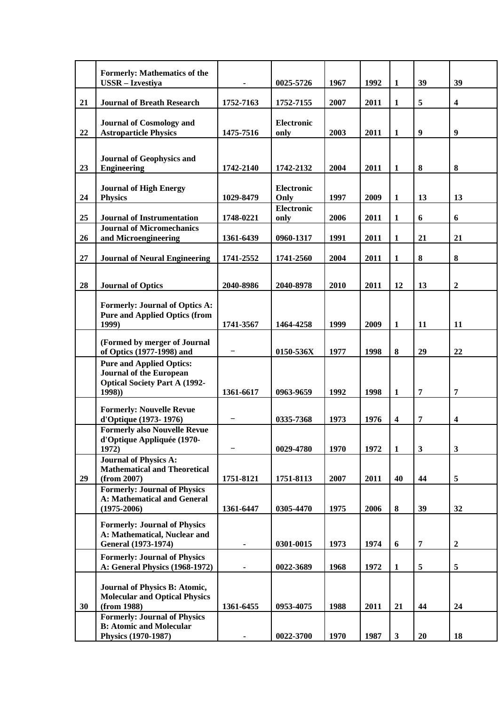|    | <b>Formerly: Mathematics of the</b><br><b>USSR</b> – Izvestiya                                                     |           | 0025-5726                 | 1967 | 1992 | 1            | 39             | 39               |
|----|--------------------------------------------------------------------------------------------------------------------|-----------|---------------------------|------|------|--------------|----------------|------------------|
| 21 | <b>Journal of Breath Research</b>                                                                                  | 1752-7163 | 1752-7155                 | 2007 | 2011 | 1            | 5              | 4                |
| 22 | <b>Journal of Cosmology and</b><br><b>Astroparticle Physics</b>                                                    | 1475-7516 | Electronic<br>only        | 2003 | 2011 | 1            | 9              | 9                |
| 23 | <b>Journal of Geophysics and</b><br><b>Engineering</b>                                                             | 1742-2140 | 1742-2132                 | 2004 | 2011 | 1            | 8              | 8                |
| 24 | <b>Journal of High Energy</b><br><b>Physics</b>                                                                    | 1029-8479 | Electronic<br>Only        | 1997 | 2009 | 1            | 13             | 13               |
| 25 | <b>Journal of Instrumentation</b>                                                                                  | 1748-0221 | <b>Electronic</b><br>only | 2006 | 2011 | 1            | 6              | 6                |
| 26 | <b>Journal of Micromechanics</b><br>and Microengineering                                                           | 1361-6439 | 0960-1317                 | 1991 | 2011 | 1            | 21             | 21               |
| 27 | <b>Journal of Neural Engineering</b>                                                                               | 1741-2552 | 1741-2560                 | 2004 | 2011 | 1            | 8              | 8                |
| 28 | <b>Journal of Optics</b>                                                                                           | 2040-8986 | 2040-8978                 | 2010 | 2011 | 12           | 13             | $\boldsymbol{2}$ |
|    | <b>Formerly: Journal of Optics A:</b><br><b>Pure and Applied Optics (from</b><br>1999)                             | 1741-3567 | 1464-4258                 | 1999 | 2009 | 1            | 11             | 11               |
|    | (Formed by merger of Journal<br>of Optics (1977-1998) and                                                          |           | 0150-536X                 | 1977 | 1998 | 8            | 29             | 22               |
|    | <b>Pure and Applied Optics:</b><br><b>Journal of the European</b><br><b>Optical Society Part A (1992-</b><br>1998) | 1361-6617 | 0963-9659                 | 1992 | 1998 | $\mathbf{1}$ | $\overline{7}$ | $\overline{7}$   |
|    | <b>Formerly: Nouvelle Revue</b><br>d'Optique (1973-1976)                                                           |           | 0335-7368                 | 1973 | 1976 | 4            | $\overline{7}$ | 4                |
|    | <b>Formerly also Nouvelle Revue</b><br>d'Optique Appliquée (1970-<br>1972)                                         |           | 0029-4780                 | 1970 | 1972 | $\mathbf{1}$ | $\mathbf{3}$   | $\mathbf{3}$     |
| 29 | <b>Journal of Physics A:</b><br><b>Mathematical and Theoretical</b><br>(from 2007)                                 | 1751-8121 | 1751-8113                 | 2007 | 2011 | 40           | 44             | 5                |
|    | <b>Formerly: Journal of Physics</b><br><b>A: Mathematical and General</b><br>$(1975 - 2006)$                       | 1361-6447 | 0305-4470                 | 1975 | 2006 | $\bf{8}$     | 39             | 32               |
|    | <b>Formerly: Journal of Physics</b><br>A: Mathematical, Nuclear and<br>General (1973-1974)                         |           | 0301-0015                 | 1973 | 1974 | 6            | $\overline{7}$ | $\boldsymbol{2}$ |
|    | <b>Formerly: Journal of Physics</b><br><b>A: General Physics (1968-1972)</b>                                       |           | 0022-3689                 | 1968 | 1972 | $\mathbf{1}$ | 5              | 5                |
| 30 | Journal of Physics B: Atomic,<br><b>Molecular and Optical Physics</b><br>(from 1988)                               | 1361-6455 | 0953-4075                 | 1988 | 2011 | 21           | 44             | 24               |
|    | <b>Formerly: Journal of Physics</b><br><b>B: Atomic and Molecular</b><br>Physics (1970-1987)                       |           | 0022-3700                 | 1970 | 1987 | $\mathbf{3}$ | 20             | 18               |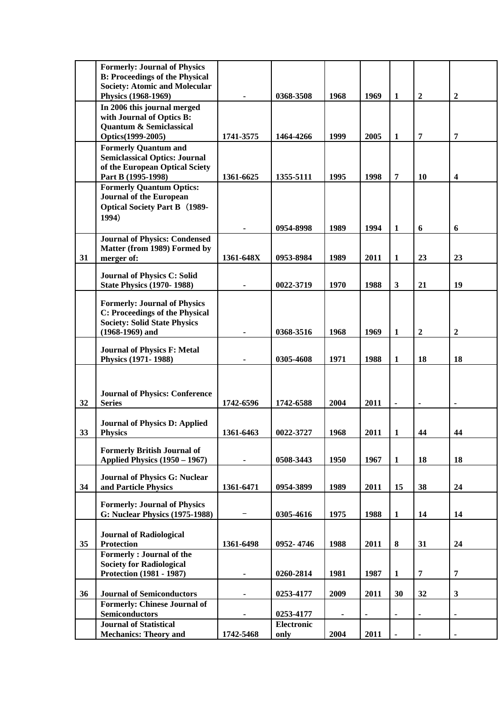|    | <b>Formerly: Journal of Physics</b><br><b>B: Proceedings of the Physical</b> |           |            |      |      |                |                |                  |
|----|------------------------------------------------------------------------------|-----------|------------|------|------|----------------|----------------|------------------|
|    | <b>Society: Atomic and Molecular</b><br>Physics (1968-1969)                  |           | 0368-3508  | 1968 | 1969 | 1              | $\overline{2}$ | $\boldsymbol{2}$ |
|    | In 2006 this journal merged                                                  |           |            |      |      |                |                |                  |
|    | with Journal of Optics B:<br><b>Quantum &amp; Semiclassical</b>              |           |            |      |      |                |                |                  |
|    | Optics(1999-2005)                                                            | 1741-3575 | 1464-4266  | 1999 | 2005 | 1              | 7              | 7                |
|    | <b>Formerly Quantum and</b>                                                  |           |            |      |      |                |                |                  |
|    | <b>Semiclassical Optics: Journal</b>                                         |           |            |      |      |                |                |                  |
|    | of the European Optical Sciety<br>Part B (1995-1998)                         | 1361-6625 | 1355-5111  | 1995 | 1998 | 7              | 10             | $\boldsymbol{4}$ |
|    | <b>Formerly Quantum Optics:</b>                                              |           |            |      |      |                |                |                  |
|    | <b>Journal of the European</b>                                               |           |            |      |      |                |                |                  |
|    | <b>Optical Society Part B (1989-</b>                                         |           |            |      |      |                |                |                  |
|    | 1994)                                                                        |           | 0954-8998  | 1989 | 1994 | 1              | 6              | 6                |
|    | <b>Journal of Physics: Condensed</b>                                         |           |            |      |      |                |                |                  |
| 31 | Matter (from 1989) Formed by<br>merger of:                                   | 1361-648X | 0953-8984  | 1989 | 2011 | 1              | 23             | 23               |
|    |                                                                              |           |            |      |      |                |                |                  |
|    | <b>Journal of Physics C: Solid</b>                                           |           |            |      |      |                |                |                  |
|    | <b>State Physics (1970-1988)</b>                                             |           | 0022-3719  | 1970 | 1988 | $\mathbf{3}$   | 21             | 19               |
|    | <b>Formerly: Journal of Physics</b>                                          |           |            |      |      |                |                |                  |
|    | C: Proceedings of the Physical                                               |           |            |      |      |                |                |                  |
|    | <b>Society: Solid State Physics</b><br>$(1968-1969)$ and                     |           | 0368-3516  | 1968 | 1969 | 1              | 2              | $\boldsymbol{2}$ |
|    |                                                                              |           |            |      |      |                |                |                  |
|    | <b>Journal of Physics F: Metal</b><br>Physics (1971-1988)                    |           | 0305-4608  | 1971 | 1988 | 1              | 18             | 18               |
|    |                                                                              |           |            |      |      |                |                |                  |
|    |                                                                              |           |            |      |      |                |                |                  |
|    | <b>Journal of Physics: Conference</b>                                        |           |            |      |      |                |                |                  |
| 32 | <b>Series</b>                                                                | 1742-6596 | 1742-6588  | 2004 | 2011 |                |                |                  |
|    | <b>Journal of Physics D: Applied</b>                                         |           |            |      |      |                |                |                  |
| 33 | <b>Physics</b>                                                               | 1361-6463 | 0022-3727  | 1968 | 2011 | 1              | 44             | 44               |
|    |                                                                              |           |            |      |      |                |                |                  |
|    | <b>Formerly British Journal of</b><br><b>Applied Physics (1950 – 1967)</b>   |           | 0508-3443  | 1950 | 1967 | $\mathbf{1}$   | 18             | 18               |
|    |                                                                              |           |            |      |      |                |                |                  |
| 34 | <b>Journal of Physics G: Nuclear</b><br>and Particle Physics                 | 1361-6471 | 0954-3899  | 1989 | 2011 | 15             | 38             | 24               |
|    |                                                                              |           |            |      |      |                |                |                  |
|    | <b>Formerly: Journal of Physics</b>                                          |           |            |      |      |                |                |                  |
|    | <b>G: Nuclear Physics (1975-1988)</b>                                        |           | 0305-4616  | 1975 | 1988 | $\mathbf{1}$   | 14             | 14               |
|    | <b>Journal of Radiological</b>                                               |           |            |      |      |                |                |                  |
| 35 | <b>Protection</b>                                                            | 1361-6498 | 0952-4746  | 1988 | 2011 | 8              | 31             | 24               |
|    | <b>Formerly: Journal of the</b><br><b>Society for Radiological</b>           |           |            |      |      |                |                |                  |
|    | Protection (1981 - 1987)                                                     |           | 0260-2814  | 1981 | 1987 | 1              | $\overline{7}$ | $\overline{7}$   |
|    |                                                                              |           |            |      |      |                |                |                  |
| 36 | <b>Journal of Semiconductors</b>                                             |           | 0253-4177  | 2009 | 2011 | 30             | 32             | $\mathbf{3}$     |
|    | <b>Formerly: Chinese Journal of</b><br><b>Semiconductors</b>                 |           | 0253-4177  |      |      | $\blacksquare$ |                | $\blacksquare$   |
|    | <b>Journal of Statistical</b>                                                |           | Electronic |      |      |                |                |                  |
|    | <b>Mechanics: Theory and</b>                                                 | 1742-5468 | only       | 2004 | 2011 |                |                |                  |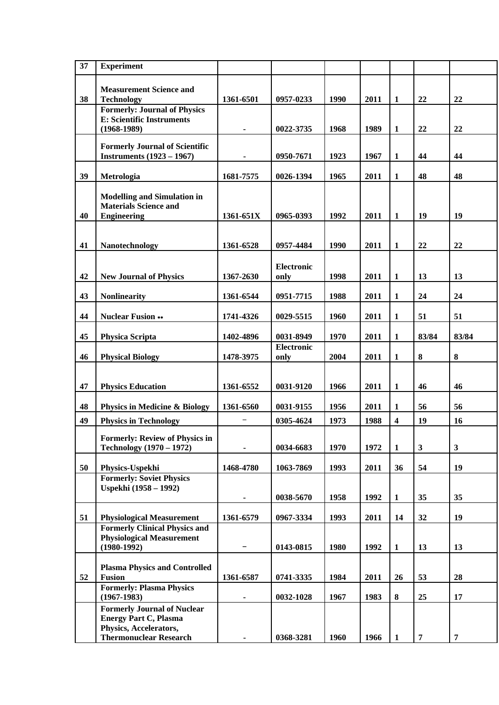| 37 | <b>Experiment</b>                                        |           |                   |      |      |                         |                |                |
|----|----------------------------------------------------------|-----------|-------------------|------|------|-------------------------|----------------|----------------|
|    |                                                          |           |                   |      |      |                         |                |                |
|    | <b>Measurement Science and</b>                           |           |                   |      |      |                         |                |                |
| 38 | <b>Technology</b><br><b>Formerly: Journal of Physics</b> | 1361-6501 | 0957-0233         | 1990 | 2011 | $\mathbf{1}$            | 22             | 22             |
|    | <b>E: Scientific Instruments</b>                         |           |                   |      |      |                         |                |                |
|    | $(1968-1989)$                                            |           | 0022-3735         | 1968 | 1989 | $\mathbf{1}$            | 22             | 22             |
|    | <b>Formerly Journal of Scientific</b>                    |           |                   |      |      |                         |                |                |
|    | <b>Instruments</b> (1923 – 1967)                         |           | 0950-7671         | 1923 | 1967 | 1                       | 44             | 44             |
|    |                                                          |           |                   |      |      |                         |                |                |
| 39 | Metrologia                                               | 1681-7575 | 0026-1394         | 1965 | 2011 | 1                       | 48             | 48             |
|    | <b>Modelling and Simulation in</b>                       |           |                   |      |      |                         |                |                |
|    | <b>Materials Science and</b>                             |           |                   |      |      |                         |                |                |
| 40 | <b>Engineering</b>                                       | 1361-651X | 0965-0393         | 1992 | 2011 | $\mathbf{1}$            | 19             | 19             |
|    |                                                          |           |                   |      |      |                         |                |                |
| 41 | Nanotechnology                                           | 1361-6528 | 0957-4484         | 1990 | 2011 | $\mathbf{1}$            | 22             | 22             |
|    |                                                          |           |                   |      |      |                         |                |                |
|    |                                                          |           | <b>Electronic</b> |      |      |                         |                |                |
| 42 | <b>New Journal of Physics</b>                            | 1367-2630 | only              | 1998 | 2011 | 1                       | 13             | 13             |
| 43 | <b>Nonlinearity</b>                                      | 1361-6544 | 0951-7715         | 1988 | 2011 | 1                       | 24             | 24             |
|    |                                                          |           |                   |      |      |                         |                |                |
| 44 | <b>Nuclear Fusion **</b>                                 | 1741-4326 | 0029-5515         | 1960 | 2011 | 1                       | 51             | 51             |
| 45 | <b>Physica Scripta</b>                                   | 1402-4896 | 0031-8949         | 1970 | 2011 | 1                       | 83/84          | 83/84          |
|    |                                                          |           | <b>Electronic</b> |      |      |                         |                |                |
| 46 | <b>Physical Biology</b>                                  | 1478-3975 | only              | 2004 | 2011 | 1                       | 8              | 8              |
|    |                                                          |           |                   |      |      |                         |                |                |
| 47 | <b>Physics Education</b>                                 | 1361-6552 | 0031-9120         | 1966 | 2011 | $\mathbf{1}$            | 46             | 46             |
| 48 | <b>Physics in Medicine &amp; Biology</b>                 | 1361-6560 | 0031-9155         | 1956 | 2011 | 1                       | 56             | 56             |
| 49 | <b>Physics in Technology</b>                             |           | 0305-4624         | 1973 | 1988 | $\overline{\mathbf{4}}$ | 19             | 16             |
|    |                                                          |           |                   |      |      |                         |                |                |
|    | <b>Formerly: Review of Physics in</b>                    |           |                   |      |      |                         |                |                |
|    | Technology (1970 – 1972)                                 |           | 0034-6683         | 1970 | 1972 | $\mathbf{1}$            | $\mathbf{3}$   | $\mathbf{3}$   |
| 50 | Physics-Uspekhi                                          | 1468-4780 | 1063-7869         | 1993 | 2011 | 36                      | 54             | 19             |
|    | <b>Formerly: Soviet Physics</b>                          |           |                   |      |      |                         |                |                |
|    | Uspekhi (1958 – 1992)                                    |           | 0038-5670         | 1958 | 1992 | $\mathbf{1}$            | 35             | 35             |
|    |                                                          |           |                   |      |      |                         |                |                |
| 51 | <b>Physiological Measurement</b>                         | 1361-6579 | 0967-3334         | 1993 | 2011 | 14                      | 32             | 19             |
|    | <b>Formerly Clinical Physics and</b>                     |           |                   |      |      |                         |                |                |
|    | <b>Physiological Measurement</b><br>$(1980-1992)$        |           | 0143-0815         | 1980 | 1992 | $\mathbf{1}$            | 13             | 13             |
|    |                                                          |           |                   |      |      |                         |                |                |
|    | <b>Plasma Physics and Controlled</b>                     |           |                   |      |      |                         |                |                |
| 52 | <b>Fusion</b>                                            | 1361-6587 | 0741-3335         | 1984 | 2011 | 26                      | 53             | 28             |
|    | <b>Formerly: Plasma Physics</b><br>$(1967 - 1983)$       |           | 0032-1028         | 1967 | 1983 | 8                       | 25             | 17             |
|    | <b>Formerly Journal of Nuclear</b>                       |           |                   |      |      |                         |                |                |
|    | <b>Energy Part C, Plasma</b>                             |           |                   |      |      |                         |                |                |
|    | Physics, Accelerators,                                   |           |                   |      |      |                         |                |                |
|    | <b>Thermonuclear Research</b>                            |           | 0368-3281         | 1960 | 1966 | 1                       | $\overline{7}$ | $\overline{7}$ |